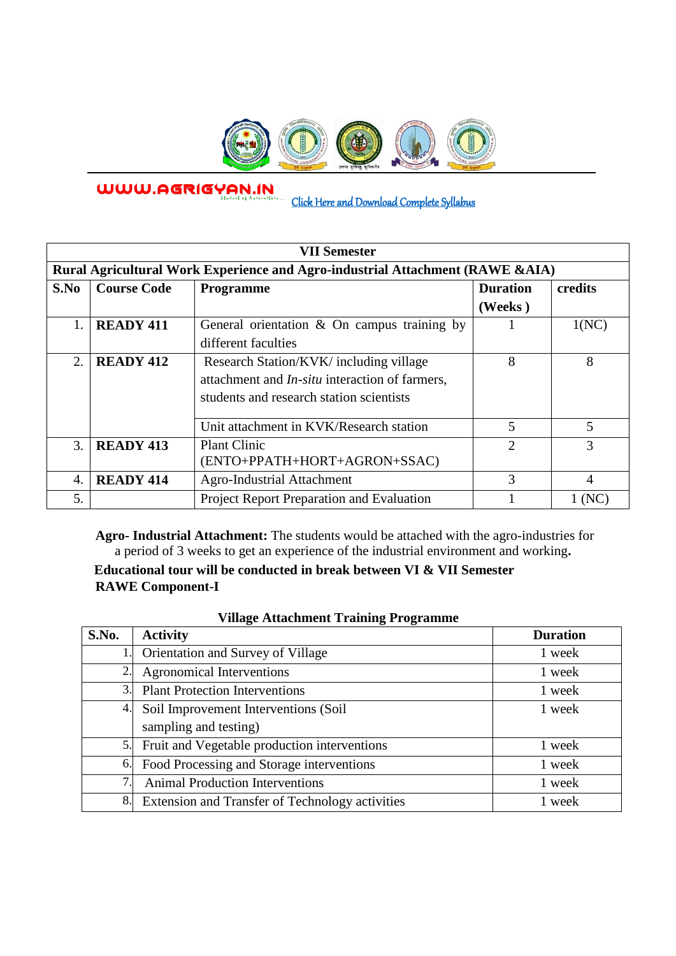

WWW.AGRIGYAN.IN

l

[Click Here and Download Complete Syllabus](http://agrigyan.in/) 

| <b>VII Semester</b>                                                           |                    |                                                       |                 |                |  |  |  |
|-------------------------------------------------------------------------------|--------------------|-------------------------------------------------------|-----------------|----------------|--|--|--|
| Rural Agricultural Work Experience and Agro-industrial Attachment (RAWE &AIA) |                    |                                                       |                 |                |  |  |  |
| S.No                                                                          | <b>Course Code</b> | <b>Programme</b>                                      | <b>Duration</b> | credits        |  |  |  |
|                                                                               |                    |                                                       | (Weeks)         |                |  |  |  |
| 1.                                                                            | <b>READY 411</b>   | General orientation $\&$ On campus training by        |                 | 1(NC)          |  |  |  |
|                                                                               |                    | different faculties                                   |                 |                |  |  |  |
| 2.                                                                            | <b>READY 412</b>   | Research Station/KVK/ including village               | 8               | 8              |  |  |  |
|                                                                               |                    | attachment and <i>In-situ</i> interaction of farmers, |                 |                |  |  |  |
|                                                                               |                    | students and research station scientists              |                 |                |  |  |  |
|                                                                               |                    |                                                       |                 |                |  |  |  |
|                                                                               |                    | Unit attachment in KVK/Research station               | 5               | 5              |  |  |  |
| 3.                                                                            | <b>READY 413</b>   | <b>Plant Clinic</b>                                   | $\overline{2}$  | $\overline{3}$ |  |  |  |
|                                                                               |                    | (ENTO+PPATH+HORT+AGRON+SSAC)                          |                 |                |  |  |  |
| 4.                                                                            | <b>READY 414</b>   | Agro-Industrial Attachment                            | 3               | 4              |  |  |  |
| 5.                                                                            |                    | Project Report Preparation and Evaluation             |                 |                |  |  |  |

**Agro- Industrial Attachment:** The students would be attached with the agro-industries for a period of 3 weeks to get an experience of the industrial environment and working**.** 

**Educational tour will be conducted in break between VI & VII Semester RAWE Component-I** 

| v mage Attachment Tranning I rogramme |                                                 |                 |  |  |
|---------------------------------------|-------------------------------------------------|-----------------|--|--|
| S.No.                                 | <b>Activity</b>                                 | <b>Duration</b> |  |  |
| 1.                                    | Orientation and Survey of Village               | 1 week          |  |  |
| 2.                                    | <b>Agronomical Interventions</b>                | 1 week          |  |  |
| 3.                                    | <b>Plant Protection Interventions</b>           | l week          |  |  |
| 4.                                    | Soil Improvement Interventions (Soil            | 1 week          |  |  |
|                                       | sampling and testing)                           |                 |  |  |
| 5.                                    | Fruit and Vegetable production interventions    | 1 week          |  |  |
| 6.                                    | Food Processing and Storage interventions       | week            |  |  |
| 7.1                                   | <b>Animal Production Interventions</b>          | 1 week          |  |  |
| 8.                                    | Extension and Transfer of Technology activities | week            |  |  |

|  | <b>Village Attachment Training Programme</b> |
|--|----------------------------------------------|
|  |                                              |